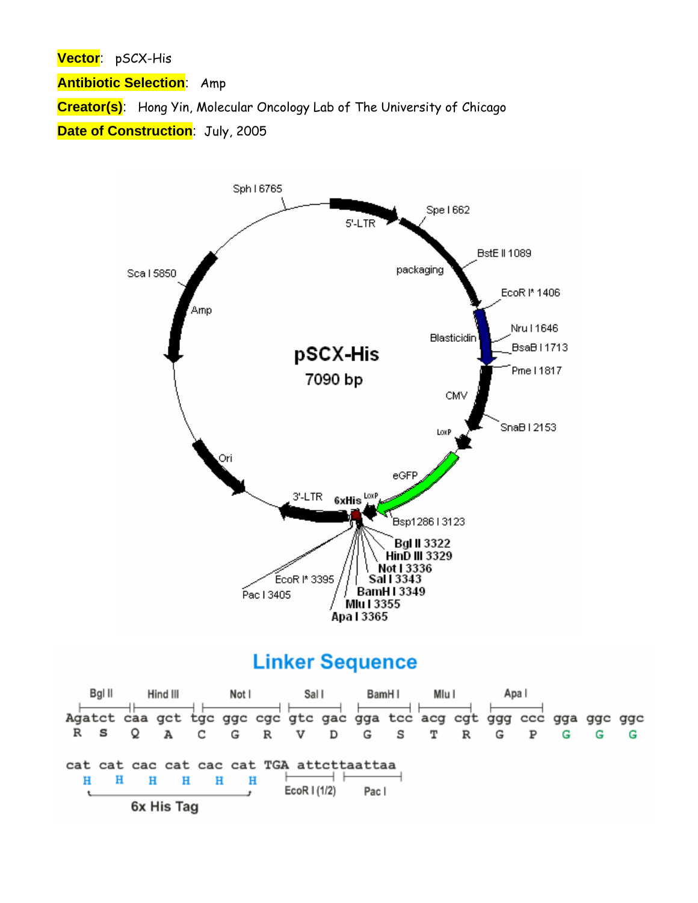**Vector**: pSCX-His

**Antibiotic Selection**: Amp

**Creator(s)**: Hong Yin, Molecular Oncology Lab of The University of Chicago

**Date of Construction**: July, 2005



## **Linker Sequence**

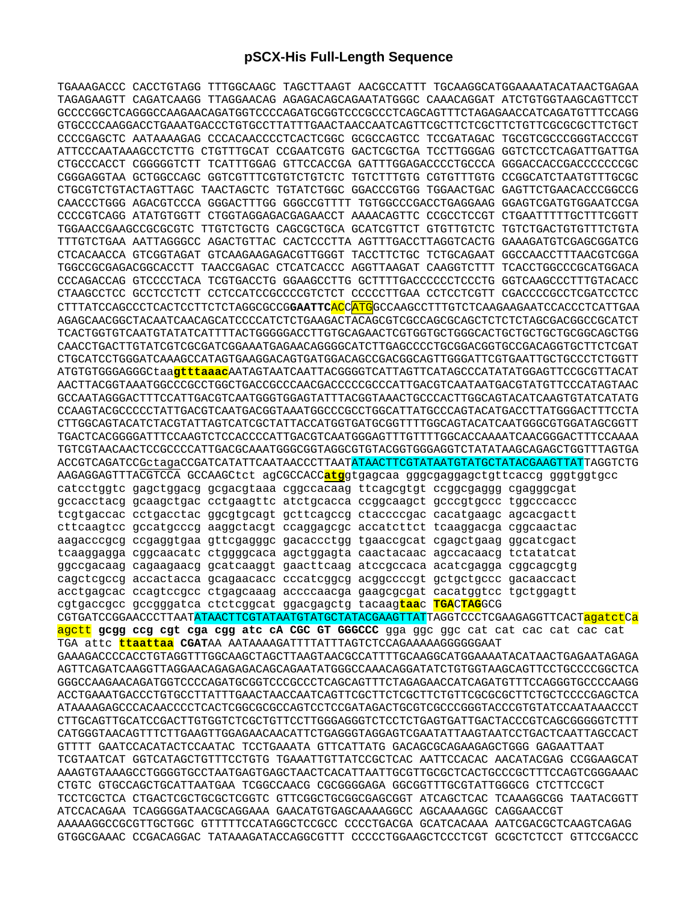## **pSCX-His Full-Length Sequence**

TGAAAGACCC CACCTGTAGG TTTGGCAAGC TAGCTTAAGT AACGCCATTT TGCAAGGCATGGAAAATACATAACTGAGAA TAGAGAAGTT CAGATCAAGG TTAGGAACAG AGAGACAGCAGAATATGGGC CAAACAGGAT ATCTGTGGTAAGCAGTTCCT GCCCCGGCTCAGGGCCAAGAACAGATGGTCCCCAGATGCGGTCCCGCCCTCAGCAGTTTCTAGAGAACCATCAGATGTTTCCAGG GTGCCCCAAGGACCTGAAATGACCCTGTGCCTTATTTGAACTAACCAATCAGTTCGCTTCTCGCTTCTGTTCGCGCGCTTCTGCT CCCCGAGCTC AATAAAAGAG CCCACAACCCCTCACTCGGC GCGCCAGTCC TCCGATAGAC TGCGTCGCCCGGGTACCCGT ATTCCCAATAAAGCCTCTTG CTGTTTGCAT CCGAATCGTG GACTCGCTGA TCCTTGGGAG GGTCTCCTCAGATTGATTGA CTGCCCACCT CGGGGGTCTT TCATTTGGAG GTTCCACCGA GATTTGGAGACCCCTGCCCA GGGACCACCGACCCCCCCGC CGGGAGGTAA GCTGGCCAGC GGTCGTTTCGTGTCTGTCTC TGTCTTTGTG CGTGTTTGTG CCGGCATCTAATGTTTGCGC CTGCGTCTGTACTAGTTAGC TAACTAGCTC TGTATCTGGC GGACCCGTGG TGGAACTGAC GAGTTCTGAACACCCGGCCG CAACCCTGGG AGACGTCCCA GGGACTTTGG GGGCCGTTTT TGTGGCCCGACCTGAGGAAG GGAGTCGATGTGGAATCCGA CCCCGTCAGG ATATGTGGTT CTGGTAGGAGACGAGAACCT AAAACAGTTC CCGCCTCCGT CTGAATTTTTGCTTTCGGTT TGGAACCGAAGCCGCGCGTC TTGTCTGCTG CAGCGCTGCA GCATCGTTCT GTGTTGTCTC TGTCTGACTGTGTTTCTGTA TTTGTCTGAA AATTAGGGCC AGACTGTTAC CACTCCCTTA AGTTTGACCTTAGGTCACTG GAAAGATGTCGAGCGGATCG CTCACAACCA GTCGGTAGAT GTCAAGAAGAGACGTTGGGT TACCTTCTGC TCTGCAGAAT GGCCAACCTTTAACGTCGGA TGGCCGCGAGACGGCACCTT TAACCGAGAC CTCATCACCC AGGTTAAGAT CAAGGTCTTT TCACCTGGCCCGCATGGACA CCCAGACCAG GTCCCCTACA TCGTGACCTG GGAAGCCTTG GCTTTTGACCCCCCTCCCTG GGTCAAGCCCTTTGTACACC CTAAGCCTCC GCCTCCTCTT CCTCCATCCGCCCCGTCTCT CCCCCTTGAA CCTCCTCGTT CGACCCCGCCTCGATCCTCC CTTTATCCAGCCCTCACTCCTTCTCTAGGCGCCG**GAATTC**ACCATGGCCAAGCCTTTGTCTCAAGAAGAATCCACCCTCATTGAA AGAGCAACGGCTACAATCAACAGCATCCCCATCTCTGAAGACTACAGCGTCGCCAGCGCAGCTCTCTCTAGCGACGGCCGCATCT TCACTGGTGTCAATGTATATCATTTTACTGGGGGACCTTGTGCAGAACTCGTGGTGCTGGGCACTGCTGCTGCTGCGGCAGCTGG CAACCTGACTTGTATCGTCGCGATCGGAAATGAGAACAGGGGCATCTTGAGCCCCTGCGGACGGTGCCGACAGGTGCTTCTCGAT CTGCATCCTGGGATCAAAGCCATAGTGAAGGACAGTGATGGACAGCCGACGGCAGTTGGGATTCGTGAATTGCTGCCCTCTGGTT ATGTGTGGGAGGGCtaa**gtttaaac**AATAGTAATCAATTACGGGGTCATTAGTTCATAGCCCATATATGGAGTTCCGCGTTACAT AACTTACGGTAAATGGCCCGCCTGGCTGACCGCCCAACGACCCCCGCCCATTGACGTCAATAATGACGTATGTTCCCATAGTAAC GCCAATAGGGACTTTCCATTGACGTCAATGGGTGGAGTATTTACGGTAAACTGCCCACTTGGCAGTACATCAAGTGTATCATATG CCAAGTACGCCCCCTATTGACGTCAATGACGGTAAATGGCCCGCCTGGCATTATGCCCAGTACATGACCTTATGGGACTTTCCTA CTTGGCAGTACATCTACGTATTAGTCATCGCTATTACCATGGTGATGCGGTTTTGGCAGTACATCAATGGGCGTGGATAGCGGTT TGACTCACGGGGATTTCCAAGTCTCCACCCCATTGACGTCAATGGGAGTTTGTTTTGGCACCAAAATCAACGGGACTTTCCAAAA TGTCGTAACAACTCCGCCCCATTGACGCAAATGGGCGGTAGGCGTGTACGGTGGGAGGTCTATATAAGCAGAGCTGGTTTAGTGA ACCGTCAGATCCGctagaCCGATCATATTCAATAACCCTTAATATAACTTCGTATAATGTATGCTATACGAAGTTATTAGGTCTG AAGAGGAGTTTACGTCCA GCCAAGCtct agCGCCACC**atg**gtgagcaa gggcgaggagctgttcaccg gggtggtgcc catcctggtc gagctggacg gcgacgtaaa cggccacaag ttcagcgtgt ccggcgaggg cgagggcgat gccacctacg gcaagctgac cctgaagttc atctgcacca ccggcaagct gcccgtgccc tggcccaccc tcgtgaccac cctgacctac ggcgtgcagt gcttcagccg ctaccccgac cacatgaagc agcacgactt cttcaagtcc gccatgcccg aaggctacgt ccaggagcgc accatcttct tcaaggacga cggcaactac aagacccgcg ccgaggtgaa gttcgagggc gacaccctgg tgaaccgcat cgagctgaag ggcatcgact tcaaggagga cggcaacatc ctggggcaca agctggagta caactacaac agccacaacg tctatatcat ggccgacaag cagaagaacg gcatcaaggt gaacttcaag atccgccaca acatcgagga cggcagcgtg cagctcgccg accactacca gcagaacacc cccatcggcg acggccccgt gctgctgccc gacaaccact acctgagcac ccagtccgcc ctgagcaaag accccaacga gaagcgcgat cacatggtcc tgctggagtt cgtgaccgcc gccgggatca ctctcggcat ggacgagctg tacaag**taa**c **TGA**C**TAG**GCG CGTGATCCGGAACCCTTAATATAACTTCGTATAATGTATGCTATACGAAGTTATTAGGTCCCTCGAAGAGGTTCACTagatctCa agctt **gcgg ccg cgt cga cgg atc cA CGC GT GGGCCC** gga ggc ggc cat cat cac cat cac cat TGA attc **ttaattaa CGAT**AA AATAAAAGATTTTATTTAGTCTCCAGAAAAAGGGGGGAAT GAAAGACCCCACCTGTAGGTTTGGCAAGCTAGCTTAAGTAACGCCATTTTGCAAGGCATGGAAAATACATAACTGAGAATAGAGA AGTTCAGATCAAGGTTAGGAACAGAGAGACAGCAGAATATGGGCCAAACAGGATATCTGTGGTAAGCAGTTCCTGCCCCGGCTCA GGGCCAAGAACAGATGGTCCCCAGATGCGGTCCCGCCCTCAGCAGTTTCTAGAGAACCATCAGATGTTTCCAGGGTGCCCCAAGG ACCTGAAATGACCCTGTGCCTTATTTGAACTAACCAATCAGTTCGCTTCTCGCTTCTGTTCGCGCGCTTCTGCTCCCCGAGCTCA ATAAAAGAGCCCACAACCCCTCACTCGGCGCGCCAGTCCTCCGATAGACTGCGTCGCCCGGGTACCCGTGTATCCAATAAACCCT CTTGCAGTTGCATCCGACTTGTGGTCTCGCTGTTCCTTGGGAGGGTCTCCTCTGAGTGATTGACTACCCGTCAGCGGGGGTCTTT CATGGGTAACAGTTTCTTGAAGTTGGAGAACAACATTCTGAGGGTAGGAGTCGAATATTAAGTAATCCTGACTCAATTAGCCACT GTTTT GAATCCACATACTCCAATAC TCCTGAAATA GTTCATTATG GACAGCGCAGAAGAGCTGGG GAGAATTAAT TCGTAATCAT GGTCATAGCTGTTTCCTGTG TGAAATTGTTATCCGCTCAC AATTCCACAC AACATACGAG CCGGAAGCAT AAAGTGTAAAGCCTGGGGTGCCTAATGAGTGAGCTAACTCACATTAATTGCGTTGCGCTCACTGCCCGCTTTCCAGTCGGGAAAC CTGTC GTGCCAGCTGCATTAATGAA TCGGCCAACG CGCGGGGAGA GGCGGTTTGCGTATTGGGCG CTCTTCCGCT TCCTCGCTCA CTGACTCGCTGCGCTCGGTC GTTCGGCTGCGGCGAGCGGT ATCAGCTCAC TCAAAGGCGG TAATACGGTT ATCCACAGAA TCAGGGGATAACGCAGGAAA GAACATGTGAGCAAAAGGCC AGCAAAAGGC CAGGAACCGT AAAAAGGCCGCGTTGCTGGC GTTTTTCCATAGGCTCCGCC CCCCTGACGA GCATCACAAA AATCGACGCTCAAGTCAGAG GTGGCGAAAC CCGACAGGAC TATAAAGATACCAGGCGTTT CCCCCTGGAAGCTCCCTCGT GCGCTCTCCT GTTCCGACCC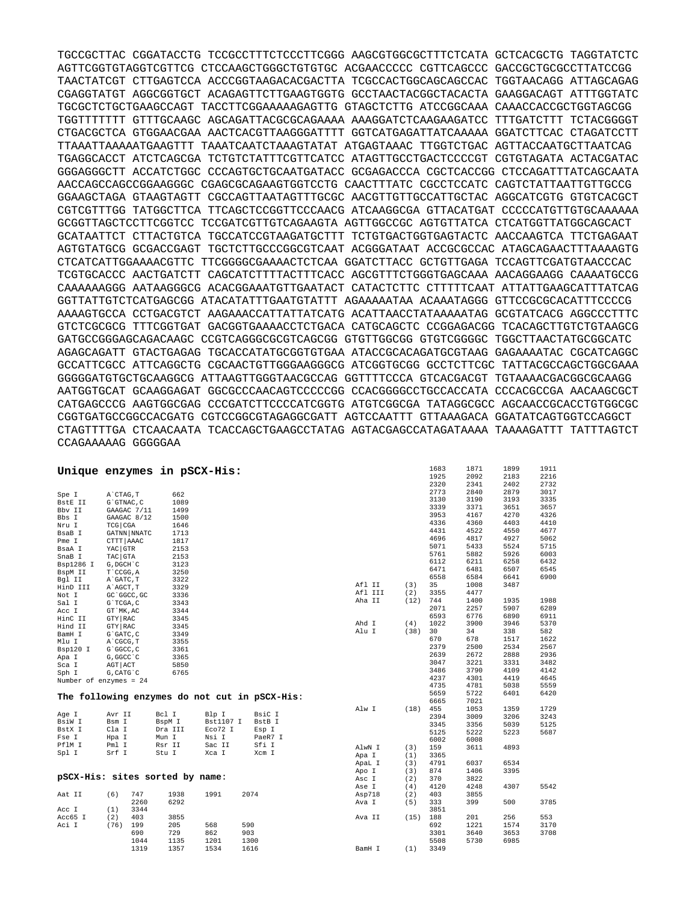TGCCGCTTAC CGGATACCTG TCCGCCTTTCTCCCTTCGGG AAGCGTGGCGCTTTCTCATA GCTCACGCTG TAGGTATCTC AGTTCGGTGTAGGTCGTTCG CTCCAAGCTGGGCTGTGTGC ACGAACCCCC CGTTCAGCCC GACCGCTGCGCCTTATCCGG TAACTATCGT CTTGAGTCCA ACCCGGTAAGACACGACTTA TCGCCACTGGCAGCAGCCAC TGGTAACAGG ATTAGCAGAG CGAGGTATGT AGGCGGTGCT ACAGAGTTCTTGAAGTGGTG GCCTAACTACGGCTACACTA GAAGGACAGT ATTTGGTATC TGCGCTCTGCTGAAGCCAGT TACCTTCGGAAAAAGAGTTG GTAGCTCTTG ATCCGGCAAA CAAACCACCGCTGGTAGCGG TGGTTTTTTT GTTTGCAAGC AGCAGATTACGCGCAGAAAA AAAGGATCTCAAGAAGATCC TTTGATCTTT TCTACGGGGT CTGACGCTCA GTGGAACGAA AACTCACGTTAAGGGATTTT GGTCATGAGATTATCAAAAA GGATCTTCAC CTAGATCCTT TTAAATTAAAAATGAAGTTT TAAATCAATCTAAAGTATAT ATGAGTAAAC TTGGTCTGAC AGTTACCAATGCTTAATCAG TGAGGCACCT ATCTCAGCGA TCTGTCTATTTCGTTCATCC ATAGTTGCCTGACTCCCCGT CGTGTAGATA ACTACGATAC GGGAGGGCTT ACCATCTGGC CCCAGTGCTGCAATGATACC GCGAGACCCA CGCTCACCGG CTCCAGATTTATCAGCAATA AACCAGCCAGCCGGAAGGGC CGAGCGCAGAAGTGGTCCTG CAACTTTATC CGCCTCCATC CAGTCTATTAATTGTTGCCG GGAAGCTAGA GTAAGTAGTT CGCCAGTTAATAGTTTGCGC AACGTTGTTGCCATTGCTAC AGGCATCGTG GTGTCACGCT CGTCGTTTGG TATGGCTTCA TTCAGCTCCGGTTCCCAACG ATCAAGGCGA GTTACATGAT CCCCCATGTTGTGCAAAAAA GCGGTTAGCTCCTTCGGTCC TCCGATCGTTGTCAGAAGTA AGTTGGCCGC AGTGTTATCA CTCATGGTTATGGCAGCACT GCATAATTCT CTTACTGTCA TGCCATCCGTAAGATGCTTT TCTGTGACTGGTGAGTACTC AACCAAGTCA TTCTGAGAAT AGTGTATGCG GCGACCGAGT TGCTCTTGCCCGGCGTCAAT ACGGGATAAT ACCGCGCCAC ATAGCAGAACTTTAAAAGTG CTCATCATTGGAAAACGTTC TTCGGGGCGAAAACTCTCAA GGATCTTACC GCTGTTGAGA TCCAGTTCGATGTAACCCAC TCGTGCACCC AACTGATCTT CAGCATCTTTTACTTTCACC AGCGTTTCTGGGTGAGCAAA AACAGGAAGG CAAAATGCCG CAAAAAAGGG AATAAGGGCG ACACGGAAATGTTGAATACT CATACTCTTC CTTTTTCAAT ATTATTGAAGCATTTATCAG GGTTATTGTCTCATGAGCGG ATACATATTTGAATGTATTT AGAAAAATAA ACAAATAGGG GTTCCGCGCACATTTCCCCG AAAAGTGCCA CCTGACGTCT AAGAAACCATTATTATCATG ACATTAACCTATAAAAATAG GCGTATCACG AGGCCCTTTC GTCTCGCGCG TTTCGGTGAT GACGGTGAAAACCTCTGACA CATGCAGCTC CCGGAGACGG TCACAGCTTGTCTGTAAGCG GATGCCGGGAGCAGACAAGC CCGTCAGGGCGCGTCAGCGG GTGTTGGCGG GTGTCGGGGC TGGCTTAACTATGCGGCATC AGAGCAGATT GTACTGAGAG TGCACCATATGCGGTGTGAA ATACCGCACAGATGCGTAAG GAGAAAATAC CGCATCAGGC GCCATTCGCC ATTCAGGCTG CGCAACTGTTGGGAAGGGCG ATCGGTGCGG GCCTCTTCGC TATTACGCCAGCTGGCGAAA GGGGGATGTGCTGCAAGGCG ATTAAGTTGGGTAACGCCAG GGTTTTCCCA GTCACGACGT TGTAAAACGACGGCGCAAGG AATGGTGCAT GCAAGGAGAT GGCGCCCAACAGTCCCCCGG CCACGGGGCCTGCCACCATA CCCACGCCGA AACAAGCGCT CATGAGCCCG AAGTGGCGAG CCCGATCTTCCCCATCGGTG ATGTCGGCGA TATAGGCGCC AGCAACCGCACCTGTGGCGC CGGTGATGCCGGCCACGATG CGTCCGGCGTAGAGGCGATT AGTCCAATTT GTTAAAGACA GGATATCAGTGGTCCAGGCT CTAGTTTTGA CTCAACAATA TCACCAGCTGAAGCCTATAG AGTACGAGCCATAGATAAAA TAAAAGATTT TATTTAGTCT CCAGAAAAAG GGGGGAA

|                                 |                   |      |         | Unique enzymes in pSCX-His: |      |                                               |         |      | 1683 | 1871 | 1899 | 1911 |
|---------------------------------|-------------------|------|---------|-----------------------------|------|-----------------------------------------------|---------|------|------|------|------|------|
|                                 |                   |      |         |                             |      |                                               |         |      | 1925 | 2092 | 2183 | 2216 |
|                                 |                   |      |         |                             |      |                                               |         |      | 2320 | 2341 | 2402 | 2732 |
| Spe I                           | A CTAG, T         |      | 662     |                             |      |                                               |         |      | 2773 | 2840 | 2879 | 3017 |
| BstE II                         | G`GTNAC, C        |      | 1089    |                             |      |                                               |         |      | 3130 | 3190 | 3193 | 3335 |
| Bbv II                          | GAAGAC 7/11       |      | 1499    |                             |      |                                               |         |      | 3339 | 3371 | 3651 | 3657 |
| Bbs I                           | GAAGAC 8/12       |      | 1500    |                             |      |                                               |         |      | 3953 | 4167 | 4270 | 4326 |
| Nru I                           | TCG CGA           |      | 1646    |                             |      |                                               |         |      | 4336 | 4360 | 4403 | 4410 |
| BsaB I                          | GATNN NNATC       |      | 1713    |                             |      |                                               |         |      | 4431 | 4522 | 4550 | 4677 |
|                                 |                   |      |         |                             |      |                                               |         |      | 4696 | 4817 | 4927 | 5062 |
| Pme I                           | CTTT AAAC         |      | 1817    |                             |      |                                               |         |      | 5071 | 5433 | 5524 | 5715 |
| BsaA I                          | YAC GTR           |      | 2153    |                             |      |                                               |         |      | 5761 | 5882 | 5926 | 6003 |
| SnaB I                          | TAC GTA           |      | 2153    |                             |      |                                               |         |      | 6112 | 6211 | 6258 | 6432 |
| Bsp1286 I                       | G, DGCH C         |      | 3123    |                             |      |                                               |         |      | 6471 | 6481 | 6507 | 6545 |
| BspM II                         | T CCGG, A         |      | 3250    |                             |      |                                               |         |      | 6558 | 6584 | 6641 | 6900 |
| Bgl II                          | A GATC, T         |      | 3322    |                             |      |                                               | Afl II  | (3)  | 35   | 1008 | 3487 |      |
| HinD III                        | A AGCT, T         |      | 3329    |                             |      |                                               | Afl III | (2)  | 3355 | 4477 |      |      |
| Not I                           | GC 'GGCC, GC      |      | 3336    |                             |      |                                               | Aha II  | (12) | 744  | 1400 | 1935 | 1988 |
| Sal I                           | G`TCGA, C         |      | 3343    |                             |      |                                               |         |      | 2071 | 2257 | 5907 | 6289 |
| Acc I                           | GT `MK, AC        |      | 3344    |                             |      |                                               |         |      | 6593 | 6776 | 6890 | 6911 |
| HinC II                         | GTY RAC           |      | 3345    |                             |      |                                               | Ahd I   | (4)  | 1022 | 3900 | 3946 | 5370 |
| Hind II                         | GTY RAC           |      | 3345    |                             |      |                                               | Alu I   | (38) | 30   | 34   | 338  | 582  |
| BamH I                          | G`GATC, C         |      | 3349    |                             |      |                                               |         |      | 670  | 678  | 1517 | 1622 |
| Mlu I                           | A CGCG, T         |      | 3355    |                             |      |                                               |         |      |      |      |      |      |
| Bsp120 I                        | G`GGCC, C         |      | 3361    |                             |      |                                               |         |      | 2379 | 2500 | 2534 | 2567 |
| Apa I                           | G, GGCC `C        |      | 3365    |                             |      |                                               |         |      | 2639 | 2672 | 2888 | 2936 |
| Sca I                           | AGT ACT           |      | 5850    |                             |      |                                               |         |      | 3047 | 3221 | 3331 | 3482 |
| Sph I                           | $G$ , CAT $G$ $C$ |      | 6765    |                             |      |                                               |         |      | 3486 | 3790 | 4109 | 4142 |
| Number of enzymes = $24$        |                   |      |         |                             |      |                                               |         |      | 4237 | 4301 | 4419 | 4645 |
|                                 |                   |      |         |                             |      |                                               |         |      | 4735 | 4781 | 5038 | 5559 |
|                                 |                   |      |         |                             |      | The following enzymes do not cut in pSCX-His: |         |      | 5659 | 5722 | 6401 | 6420 |
|                                 |                   |      |         |                             |      |                                               |         |      | 6665 | 7021 |      |      |
| Age I                           | Avr II            |      | Bcl I   | Blp I                       |      | BsiC I                                        | Alw I   | (18) | 455  | 1053 | 1359 | 1729 |
| BsiW I                          | Bsm I             |      | BspM I  | Bst1107 I                   |      | BstB I                                        |         |      | 2394 | 3009 | 3206 | 3243 |
| BstX I                          | Cla I             |      | Dra III | Eco72 I                     |      |                                               |         |      | 3345 | 3356 | 5039 | 5125 |
| Fse I                           |                   |      |         | Nsi I                       |      | Esp I<br>PaeR7 I                              |         |      | 5125 | 5222 | 5223 | 5687 |
| PflM I                          | Hpa I             |      | Mun I   |                             |      | Sfi I                                         |         |      | 6002 | 6008 |      |      |
|                                 | Pml I             |      | Rsr II  | Sac II                      |      |                                               | AlwN I  | (3)  | 159  | 3611 | 4893 |      |
| Spl I                           | Srf I             |      | Stu I   | Xca I                       |      | Xcm I                                         | Apa I   | (1)  | 3365 |      |      |      |
|                                 |                   |      |         |                             |      |                                               | ApaL I  | (3)  | 4791 | 6037 | 6534 |      |
|                                 |                   |      |         |                             |      |                                               | Apo I   | (3)  | 874  | 1406 | 3395 |      |
| pSCX-His: sites sorted by name: |                   |      |         |                             |      |                                               | Asc I   | (2)  | 370  | 3822 |      |      |
|                                 |                   |      |         |                             |      |                                               | Ase I   | (4)  | 4120 | 4248 | 4307 | 5542 |
| Aat II                          | (6)               | 747  | 1938    | 1991                        | 2074 |                                               | Asp718  | (2)  | 403  | 3855 |      |      |
|                                 |                   | 2260 | 6292    |                             |      |                                               | Ava I   | (5)  | 333  | 399  | 500  | 3785 |
| Acc I                           | (1)               | 3344 |         |                             |      |                                               |         |      | 3851 |      |      |      |
| Acc65 I                         | (2)               | 403  | 3855    |                             |      |                                               | Ava II  | (15) | 188  | 201  | 256  | 553  |
| Aci I                           | (76)              | 199  | 205     | 568                         | 590  |                                               |         |      | 692  | 1221 | 1574 | 3170 |
|                                 |                   | 690  | 729     | 862                         | 903  |                                               |         |      | 3301 | 3640 | 3653 | 3708 |
|                                 |                   | 1044 | 1135    | 1201                        | 1300 |                                               |         |      | 5508 | 5730 | 6985 |      |
|                                 |                   | 1319 | 1357    | 1534                        | 1616 |                                               | BamH I  | (1)  | 3349 |      |      |      |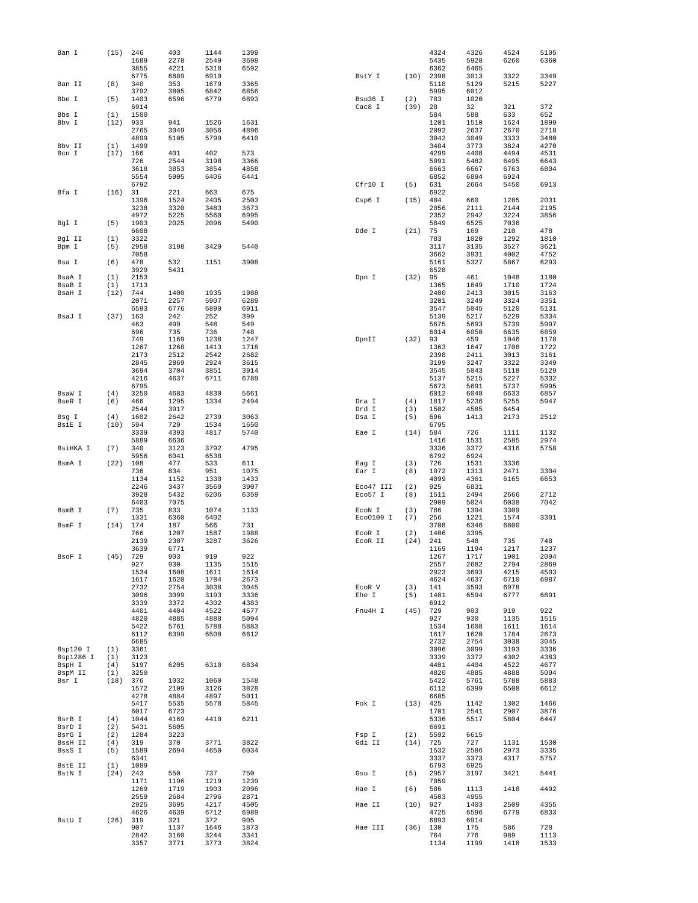| Ban I     | (15) | 246          | 403          | 1144         | 1399         |                 |            | 4324         | 4326         | 4524         | 5105         |
|-----------|------|--------------|--------------|--------------|--------------|-----------------|------------|--------------|--------------|--------------|--------------|
|           |      | 1689         | 2278         | 2549         | 3698         |                 |            | 5435         | 5928         | 6260         | 6360         |
|           |      | 3855<br>6775 | 4221<br>6889 | 5318<br>6910 | 6592         | BstY I          | (10)       | 6362<br>2398 | 6465<br>3013 | 3322         | 3349         |
| Ban II    | (8)  | 340          | 353          | 1679         | 3365         |                 |            | 5118         | 5129         | 5215         | 5227         |
|           |      | 3792         | 3805         | 6842         | 6856         |                 |            | 5995         | 6012         |              |              |
| Bbe I     | (5)  | 1403         | 6596         | 6779         | 6893         | Bsu36 I         | (2)        | 783          | 1020         |              |              |
|           |      | 6914         |              |              |              | Cac8 I          | (39)       | 28           | 32           | 321          | 372          |
| Bbs I     | (1)  | 1500         |              |              |              |                 |            | 584          | 588          | 633          | 652          |
| Bbv I     | (12) | 933          | 941          | 1526         | 1631         |                 |            | 1201         | 1510         | 1624         | 1899         |
|           |      | 2765         | 3049         | 3056         | 4896         |                 |            | 2092         | 2637         | 2670         | 2718         |
|           |      | 4899         | 5105         | 5799         | 6410         |                 |            | 3042         | 3049         | 3333         | 3480         |
| Bbv II    | (1)  | 1499         |              |              |              |                 |            | 3484         | 3773         | 3824         | 4270         |
| Bcn I     | (17) | 166          | 401          | 402          | 573          |                 |            | 4299         | 4408         | 4494         | 4531         |
|           |      | 726          | 2544         | 3198         | 3366         |                 |            | 5091         | 5482         | 6495         | 6643         |
|           |      | 3618         | 3853         | 3854         | 4858         |                 |            | 6663         | 6667         | 6763         | 6804         |
|           |      | 5554         | 5905         | 6406         | 6441         |                 |            | 6852         | 6894         | 6924         |              |
|           |      | 6792         |              |              |              | Cfr10 I         | (5)        | 631          | 2664         | 5450         | 6913         |
| Bfa I     | (16) | 31           | 221<br>1524  | 663<br>2405  | 675<br>2503  | Csp6 I          |            | 6922<br>404  |              | 1285         | 2031         |
|           |      | 1396<br>3238 | 3320         |              | 3673         |                 | (15)       | 2056         | 660<br>2111  | 2144         | 2195         |
|           |      | 4972         | 5225         | 3483<br>5560 | 6995         |                 |            | 2352         | 2942         | 3224         | 3856         |
| Bgl I     | (5)  | 1903         | 2025         | 2096         | 5490         |                 |            | 5849         | 6525         | 7036         |              |
|           |      | 6608         |              |              |              | Dde I           | (21)       | 75           | 169          | 210          | 478          |
| Bgl II    | (1)  | 3322         |              |              |              |                 |            | 783          | 1020         | 1292         | 1810         |
| Bpm I     | (5)  | 2958         | 3198         | 3420         | 5440         |                 |            | 3117         | 3135         | 3527         | 3621         |
|           |      | 7058         |              |              |              |                 |            | 3662         | 3931         | 4002         | 4752         |
| Bsa I     | (6)  | 478          | 532          | 1151         | 3908         |                 |            | 5161         | 5327         | 5867         | 6293         |
|           |      | 3929         | 5431         |              |              |                 |            | 6528         |              |              |              |
| BsaA I    | (1)  | 2153         |              |              |              | Dpn I           | (32)       | 95           | 461          | 1048         | 1180         |
| BsaB I    | (1)  | 1713         |              |              |              |                 |            | 1365         | 1649         | 1710         | 1724         |
| BsaH I    | (12) | 744          | 1400         | 1935         | 1988         |                 |            | 2400         | 2413         | 3015         | 3163         |
|           |      | 2071         | 2257         | 5907         | 6289         |                 |            | 3201         | 3249         | 3324         | 3351         |
|           |      | 6593         | 6776         | 6890         | 6911         |                 |            | 3547         | 5045         | 5120         | 5131         |
| BsaJ I    | (37) | 163<br>463   | 242<br>499   | 252<br>548   | 399<br>549   |                 |            | 5139<br>5675 | 5217<br>5693 | 5229<br>5739 | 5334<br>5997 |
|           |      | 696          | 735          | 736          | 748          |                 |            | 6014         | 6050         | 6635         | 6859         |
|           |      | 749          | 1169         | 1238         | 1247         | DpnII           | (32)       | 93           | 459          | 1046         | 1178         |
|           |      | 1267         | 1268         | 1413         | 1718         |                 |            | 1363         | 1647         | 1708         | 1722         |
|           |      | 2173         | 2512         | 2542         | 2682         |                 |            | 2398         | 2411         | 3013         | 3161         |
|           |      | 2845         | 2869         | 2924         | 3615         |                 |            | 3199         | 3247         | 3322         | 3349         |
|           |      | 3694         | 3704         | 3851         | 3914         |                 |            | 3545         | 5043         | 5118         | 5129         |
|           |      | 4216         | 4637         | 6711         | 6789         |                 |            | 5137         | 5215         | 5227         | 5332         |
|           |      | 6795         |              |              |              |                 |            | 5673         | 5691         | 5737         | 5995         |
| BsaW I    | (4)  | 3250         | 4683         | 4830         | 5661         |                 |            | 6012         | 6048         | 6633         | 6857         |
| BseR I    | (6)  | 466          | 1295         | 1334         | 2494         | Dra I           | (4)        | 1817         | 5236         | 5255         | 5947         |
|           |      | 2544         | 3917         |              |              | Drd I           | (3)        | 1502         | 4585         | 6454         |              |
| Bsg I     | (4)  | 1602         | 2642         | 2739         | 3063         | Dsa I           | (5)        | 696          | 1413         | 2173         | 2512         |
| BsiE I    | (10) | 594          | 729          | 1534         | 1650         |                 |            | 6795         |              |              |              |
|           |      | 3339         | 4393         | 4817         | 5740         | Eae I           | (14)       | 584          | 726          | 1111         | 1132         |
|           |      | 5889         | 6636         |              |              |                 |            | 1416         | 1531         | 2585         | 2974         |
| BsiHKA I  | (7)  | 340          | 3123         | 3792         | 4795         |                 |            | 3336         | 3372         | 4316         | 5758         |
|           |      | 5956         | 6041         | 6538         |              |                 |            | 6792         | 6924         |              |              |
| BsmA I    | (22) | 108<br>736   | 477<br>834   | 533<br>951   | 611<br>1075  | Eag I<br>Ear I  | (3)<br>(8) | 726<br>1072  | 1531<br>1313 | 3336<br>2471 | 3304         |
|           |      | 1134         | 1152         | 1330         | 1433         |                 |            | 4099         | 4361         | 6165         | 6653         |
|           |      | 2246         | 3437         | 3560         | 3907         | Eco47 III       | (2)        | 925          | 6831         |              |              |
|           |      | 3928         | 5432         | 6206         | 6359         | Eco57 I         | (8)        | 1511         | 2494         | 2666         | 2712         |
|           |      | 6403         | 7075         |              |              |                 |            | 2909         | 5024         | 6038         | 7042         |
| BsmB I    | (7)  | 735          | 833          | 1074         | 1133         | ECON I          | (3)        | 786          | 1394         | 3309         |              |
|           |      | 1331         | 6360         | 6402         |              | Eco0109 I       | (7)        | 256          | 1221         | 1574         | 3301         |
| BsmF I    | (14) | 174          | 187          | 566          | 731          |                 |            | 3708         | 6346         | 6800         |              |
|           |      | 766          | 1207         | 1587         | 1988         | ECOR I          | (2)        | 1406         | 3395         |              |              |
|           |      | 2139         | 2307         | 3287         | 3626         | ECOR II         | (24)       | 241          | 548          | 735          | 748          |
|           |      | 3639         | 6771         |              |              |                 |            | 1169         | 1194         | 1217         | 1237         |
| BsoF I    | (45) | 729          | 903          | 919          | 922          |                 |            | 1267         | 1717         | 1901         | 2094         |
|           |      | 927          | 930          | 1135         | 1515         |                 |            | 2557         | 2682         | 2794         | 2869         |
|           |      | 1534         | 1608         | 1611         | 1614         |                 |            | 2923         | 3693         | 4215         | 4503         |
|           |      | 1617<br>2732 | 1620         | 1784<br>3038 | 2673<br>3045 |                 |            | 4624<br>141  | 4637         | 6710<br>6978 | 6987         |
|           |      | 3096         | 2754<br>3099 | 3193         | 3336         | ECOR V<br>Ehe I | (3)<br>(5) | 1401         | 3593<br>6594 | 6777         | 6891         |
|           |      | 3339         | 3372         | 4302         | 4383         |                 |            | 6912         |              |              |              |
|           |      | 4401         | 4404         | 4522         | 4677         | Fnu4H I         | (45)       | 729          | 903          | 919          | 922          |
|           |      | 4820         | 4885         | 4888         | 5094         |                 |            | 927          | 930          | 1135         | 1515         |
|           |      | 5422         | 5761         | 5788         | 5883         |                 |            | 1534         | 1608         | 1611         | 1614         |
|           |      | 6112         | 6399         | 6508         | 6612         |                 |            | 1617         | 1620         | 1784         | 2673         |
|           |      | 6685         |              |              |              |                 |            | 2732         | 2754         | 3038         | 3045         |
| Bsp120 I  | (1)  | 3361         |              |              |              |                 |            | 3096         | 3099         | 3193         | 3336         |
| Bsp1286 I | (1)  | 3123         |              |              |              |                 |            | 3339         | 3372         | 4302         | 4383         |
| BspH I    | (4)  | 5197         | 6205         | 6310         | 6834         |                 |            | 4401         | 4404         | 4522         | 4677         |
| BspM II   | (1)  | 3250         |              |              |              |                 |            | 4820         | 4885         | 4888         | 5094         |
| Bsr I     | (18) | 376<br>1572  | 1032<br>2109 | 1060<br>3126 | 1548<br>3828 |                 |            | 5422<br>6112 | 5761<br>6399 | 5788<br>6508 | 5883         |
|           |      |              |              |              |              |                 |            |              |              |              | 6612         |
|           |      | 4278<br>5417 | 4884<br>5535 | 4897<br>5578 | 5011<br>5845 | Fok I           | (13)       | 6685<br>425  | 1142         | 1302         | 1466         |
|           |      | 6017         | 6723         |              |              |                 |            | 1701         | 2541         | 2907         | 3876         |
| BsrB I    | (4)  | 1044         | 4169         | 4410         | 6211         |                 |            | 5336         | 5517         | 5804         | 6447         |
| BsrD I    | (2)  | 5431         | 5605         |              |              |                 |            | 6691         |              |              |              |
| BsrG I    | (2)  | 1284         | 3223         |              |              | Fsp I           | (2)        | 5592         | 6615         |              |              |
| BssH II   | (4)  | 319          | 370          | 3771         | 3822         | Gdi II          | (14)       | 725          | 727          | 1131         | 1530         |
| BssS I    | (5)  | 1589         | 2694         | 4650         | 6034         |                 |            | 1532         | 2586         | 2973         | 3335         |
|           |      | 6341         |              |              |              |                 |            | 3337         | 3373         | 4317         | 5757         |
| BstE II   | (1)  | 1089         |              |              |              |                 |            | 6793         | 6925         |              |              |
| BstN I    | (24) | 243          | 550          | 737          | 750          | Gsu I           | (5)        | 2957         | 3197         | 3421         | 5441         |
|           |      | 1171         | 1196         | 1219         | 1239         |                 |            | 7059         |              |              |              |
|           |      | 1269         | 1719         | 1903         | 2096         | Hae I           | (6)        | 586          | 1113         | 1418         | 4492         |
|           |      | 2559         | 2684         | 2796         | 2871         |                 |            | 4503         | 4955         |              |              |
|           |      | 2925<br>4626 | 3695<br>4639 | 4217<br>6712 | 4505<br>6989 | Hae II          | (10)       | 927<br>4725  | 1403<br>6596 | 2509         | 4355<br>6833 |
| BstU I    | (26) | 319          | 321          | 372          | 905          |                 |            | 6893         | 6914         | 6779         |              |
|           |      |              |              |              |              |                 |            |              |              |              |              |
|           |      |              |              |              |              |                 |            |              |              |              |              |
|           |      | 907<br>2842  | 1137<br>3160 | 1646<br>3244 | 1873<br>3341 | Hae III         | (36)       | 130<br>764   | 175<br>776   | 586<br>989   | 728<br>1113  |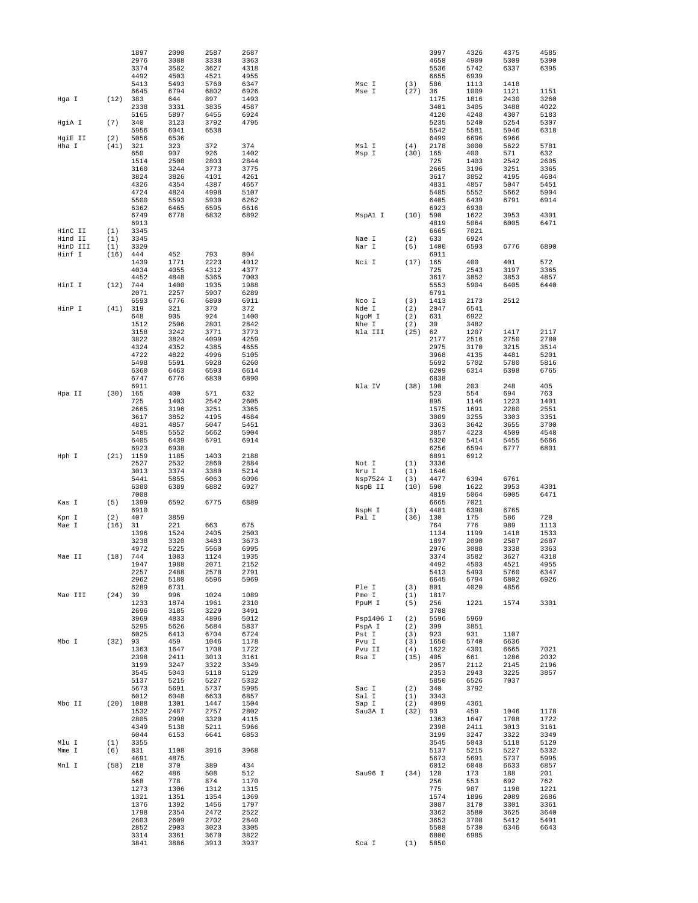|                     |             | 1897         | 2090         | 2587         | 2687         |                  |             | 3997         | 4326         | 4375         | 4585         |
|---------------------|-------------|--------------|--------------|--------------|--------------|------------------|-------------|--------------|--------------|--------------|--------------|
|                     |             | 2976<br>3374 | 3088<br>3582 | 3338<br>3627 | 3363<br>4318 |                  |             | 4658<br>5536 | 4909<br>5742 | 5309<br>6337 | 5390<br>6395 |
|                     |             | 4492         | 4503         | 4521         | 4955         |                  |             | 6655         | 6939         |              |              |
|                     |             | 5413<br>6645 | 5493<br>6794 | 5760<br>6802 | 6347<br>6926 | Msc I<br>Mse I   | (3)<br>(27) | 586<br>36    | 1113<br>1009 | 1418<br>1121 | 1151         |
| Hga I               | (12)        | 383          | 644          | 897          | 1493         |                  |             | 1175         | 1816         | 2430         | 3260         |
|                     |             | 2338         | 3331         | 3835         | 4587         |                  |             | 3401         | 3405         | 3488         | 4022         |
| HgiA I              | (7)         | 5165<br>340  | 5897<br>3123 | 6455<br>3792 | 6924<br>4795 |                  |             | 4120<br>5235 | 4248<br>5240 | 4307<br>5254 | 5183<br>5307 |
|                     |             | 5956         | 6041         | 6538         |              |                  |             | 5542         | 5581         | 5946         | 6318         |
| HgiE II             | (2)         | 5056         | 6536         |              |              |                  |             | 6499         | 6696         | 6966         |              |
| Hha I               | (41)        | 321<br>650   | 323<br>907   | 372<br>926   | 374<br>1402  | Msl I<br>Msp I   | (4)<br>(30) | 2178<br>165  | 3000<br>400  | 5622<br>571  | 5781<br>632  |
|                     |             | 1514         | 2508         | 2803         | 2844         |                  |             | 725          | 1403         | 2542         | 2605         |
|                     |             | 3160         | 3244         | 3773         | 3775         |                  |             | 2665         | 3196         | 3251         | 3365         |
|                     |             | 3824<br>4326 | 3826<br>4354 | 4101<br>4387 | 4261<br>4657 |                  |             | 3617<br>4831 | 3852<br>4857 | 4195<br>5047 | 4684<br>5451 |
|                     |             | 4724         | 4824         | 4998         | 5107         |                  |             | 5485         | 5552         | 5662         | 5904         |
|                     |             | 5500         | 5593         | 5930         | 6262         |                  |             | 6405         | 6439         | 6791         | 6914         |
|                     |             | 6362<br>6749 | 6465<br>6778 | 6595<br>6832 | 6616<br>6892 | MspA1 I          | (10)        | 6923<br>590  | 6938<br>1622 | 3953         | 4301         |
|                     |             | 6913         |              |              |              |                  |             | 4819         | 5064         | 6005         | 6471         |
| HinC II             | (1)         | 3345         |              |              |              |                  |             | 6665         | 7021         |              |              |
| Hind II<br>HinD III | (1)<br>(1)  | 3345<br>3329 |              |              |              | Nae I<br>Nar I   | (2)<br>(5)  | 633<br>1400  | 6924<br>6593 | 6776         | 6890         |
| Hinf I              | (16)        | 444          | 452          | 793          | 804          |                  |             | 6911         |              |              |              |
|                     |             | 1439         | 1771         | 2223         | 4012         | Nci I            | (17)        | 165          | 400          | 401          | 572          |
|                     |             | 4034<br>4452 | 4055<br>4848 | 4312<br>5365 | 4377<br>7003 |                  |             | 725<br>3617  | 2543<br>3852 | 3197<br>3853 | 3365<br>4857 |
| HinI I              | (12)        | 744          | 1400         | 1935         | 1988         |                  |             | 5553         | 5904         | 6405         | 6440         |
|                     |             | 2071         | 2257         | 5907         | 6289         |                  |             | 6791         |              |              |              |
| HinP I              | (41)        | 6593<br>319  | 6776<br>321  | 6890<br>370  | 6911<br>372  | Nco I<br>Nde I   | (3)<br>(2)  | 1413<br>2047 | 2173<br>6541 | 2512         |              |
|                     |             | 648          | 905          | 924          | 1400         | NgoM I           | (2)         | 631          | 6922         |              |              |
|                     |             | 1512         | 2506         | 2801         | 2842         | Nhe I            | (2)         | 30           | 3482         |              |              |
|                     |             | 3158<br>3822 | 3242<br>3824 | 3771<br>4099 | 3773<br>4259 | Nla III          | (25)        | 62<br>2177   | 1207<br>2516 | 1417<br>2750 | 2117<br>2780 |
|                     |             | 4324         | 4352         | 4385         | 4655         |                  |             | 2975         | 3170         | 3215         | 3514         |
|                     |             | 4722         | 4822         | 4996         | 5105         |                  |             | 3968         | 4135         | 4481         | 5201         |
|                     |             | 5498<br>6360 | 5591<br>6463 | 5928<br>6593 | 6260<br>6614 |                  |             | 5692<br>6209 | 5702<br>6314 | 5780<br>6398 | 5816<br>6765 |
|                     |             | 6747         | 6776         | 6830         | 6890         |                  |             | 6838         |              |              |              |
|                     |             | 6911         |              |              |              | Nla IV           | (38)        | 190          | 203          | 248          | 405          |
| Hpa II              | (30)        | 165<br>725   | 400<br>1403  | 571<br>2542  | 632<br>2605  |                  |             | 523<br>895   | 554<br>1146  | 694<br>1223  | 763<br>1401  |
|                     |             | 2665         | 3196         | 3251         | 3365         |                  |             | 1575         | 1691         | 2280         | 2551         |
|                     |             | 3617         | 3852         | 4195         | 4684         |                  |             | 3089         | 3255         | 3303         | 3351         |
|                     |             | 4831<br>5485 | 4857<br>5552 | 5047<br>5662 | 5451<br>5904 |                  |             | 3363<br>3857 | 3642<br>4223 | 3655<br>4509 | 3700<br>4548 |
|                     |             | 6405         | 6439         | 6791         | 6914         |                  |             | 5320         | 5414         | 5455         | 5666         |
|                     |             | 6923         | 6938         |              |              |                  |             | 6256         | 6594         | 6777         | 6801         |
| Hph I               | (21)        | 1159<br>2527 | 1185<br>2532 | 1403<br>2860 | 2188<br>2884 | Not I            | (1)         | 6891<br>3336 | 6912         |              |              |
|                     |             | 3013         | 3374         | 3380         | 5214         | Nru I            | (1)         | 1646         |              |              |              |
|                     |             | 5441         | 5855         | 6063         | 6096         | Nsp7524 I        | (3)         | 4477         | 6394         | 6761         |              |
|                     |             | 6380<br>7008 | 6389         | 6882         | 6927         | NspB II          | (10)        | 590<br>4819  | 1622<br>5064 | 3953<br>6005 | 4301<br>6471 |
| Kas I               | (5)         | 1399         | 6592         | 6775         | 6889         |                  |             | 6665         | 7021         |              |              |
|                     |             | 6910         |              |              |              | NspH I           | (3)         | 4481         | 6398         | 6765         |              |
| Kpn I<br>Mae I      | (2)<br>(16) | 407<br>31    | 3859<br>221  | 663          | 675          | Pal I            | (36)        | 130<br>764   | 175<br>776   | 586<br>989   | 728<br>1113  |
|                     |             | 1396         | 1524         | 2405         | 2503         |                  |             | 1134         | 1199         | 1418         | 1533         |
|                     |             | 3238         | 3320         | 3483         | 3673<br>6995 |                  |             | 1897         | 2090         | 2587         | 2687         |
| Mae II              | (18)        | 4972         |              |              |              |                  |             |              |              |              |              |
|                     |             |              | 5225         | 5560         |              |                  |             | 2976         | 3088         | 3338         | 3363         |
|                     |             | 744<br>1947  | 1083<br>1988 | 1124<br>2071 | 1935<br>2152 |                  |             | 3374<br>4492 | 3582<br>4503 | 3627<br>4521 | 4318<br>4955 |
|                     |             | 2257         | 2488         | 2578         | 2791         |                  |             | 5413         | 5493         | 5760         | 6347         |
|                     |             | 2962         | 5180         | 5596         | 5969         |                  |             | 6645         | 6794         | 6802         | 6926         |
| Mae III             | (24)        | 6289<br>39   | 6731<br>996  | 1024         | 1089         | Ple I<br>Pme I   | (3)<br>(1)  | 801<br>1817  | 4020         | 4856         |              |
|                     |             | 1233         | 1874         | 1961         | 2310         | PpuM I           | (5)         | 256          | 1221         | 1574         | 3301         |
|                     |             | 2696<br>3969 | 3185<br>4833 | 3229<br>4896 | 3491<br>5012 | Psp1406 I        | (2)         | 3708<br>5596 | 5969         |              |              |
|                     |             | 5295         | 5626         | 5684         | 5837         | PspA I           | (2)         | 399          | 3851         |              |              |
|                     |             | 6025         | 6413         | 6704         | 6724         | Pst I            | (3)         | 923          | 931          | 1107         |              |
| Mbo I               | (32)        | 93           | 459          | 1046         | 1178         | Pvu I            | (3)         | 1650         | 5740         | 6636         |              |
|                     |             | 1363<br>2398 | 1647<br>2411 | 1708<br>3013 | 1722<br>3161 | Pvu II<br>Rsa I  | (4)<br>(15) | 1622<br>405  | 4301<br>661  | 6665<br>1286 | 7021<br>2032 |
|                     |             | 3199         | 3247         | 3322         | 3349         |                  |             | 2057         | 2112         | 2145         | 2196         |
|                     |             | 3545<br>5137 | 5043<br>5215 | 5118<br>5227 | 5129<br>5332 |                  |             | 2353<br>5850 | 2943<br>6526 | 3225<br>7037 | 3857         |
|                     |             | 5673         | 5691         | 5737         | 5995         | Sac I            | (2)         | 340          | 3792         |              |              |
|                     |             | 6012         | 6048         | 6633         | 6857         | Sal I            | (1)         | 3343         |              |              |              |
| Mbo II              | (20)        | 1088<br>1532 | 1301<br>2487 | 1447<br>2757 | 1504<br>2802 | Sap I<br>Sau3A I | (2)<br>(32) | 4099<br>93   | 4361<br>459  | 1046         | 1178         |
|                     |             | 2805         | 2998         | 3320         | 4115         |                  |             | 1363         | 1647         | 1708         | 1722         |
|                     |             | 4349         | 5138         | 5211         | 5966         |                  |             | 2398         | 2411         | 3013         | 3161         |
| Mlu I               | (1)         | 6044<br>3355 | 6153         | 6641         | 6853         |                  |             | 3199<br>3545 | 3247<br>5043 | 3322<br>5118 | 3349<br>5129 |
| Mme I               | (6)         | 831          | 1108         | 3916         | 3968         |                  |             | 5137         | 5215         | 5227         | 5332         |
|                     |             | 4691         | 4875         |              |              |                  |             | 5673         | 5691         | 5737         | 5995         |
| Mnl I               | (58)        | 218<br>462   | 370<br>486   | 389<br>508   | 434<br>512   | Sau96 I          | (34)        | 6012<br>128  | 6048<br>173  | 6633<br>188  | 6857<br>201  |
|                     |             | 568          | 778          | 874          | 1170         |                  |             | 256          | 553          | 692          | 762          |
|                     |             | 1273         | 1306         | 1312         | 1315         |                  |             | 775          | 987          | 1198         | 1221         |
|                     |             | 1321<br>1376 | 1351<br>1392 | 1354<br>1456 | 1369<br>1797 |                  |             | 1574<br>3087 | 1896<br>3170 | 2089<br>3301 | 2686<br>3361 |
|                     |             | 1798         | 2354         | 2472         | 2522         |                  |             | 3362         | 3580         | 3625         | 3640         |
|                     |             | 2603         | 2609         | 2702         | 2840         |                  |             | 3653         | 3708         | 5412         | 5491         |
|                     |             | 2852<br>3314 | 2903<br>3361 | 3023<br>3670 | 3305<br>3822 |                  |             | 5508<br>6800 | 5730<br>6985 | 6346         | 6643         |